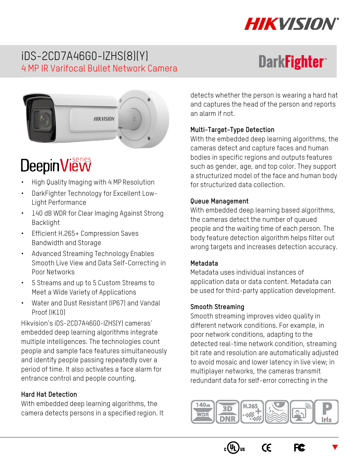

**DarkFighter** 

# iDS-2CD7A46G0-IZHS(8)(Y) 4 MP IR Varifocal Bullet Network Camera



# DeepinView

- High Quality Imaging with 4 MP Resolution
- DarkFighter Technology for Excellent Low-Light Performance
- 140 dB WDR for Clear Imaging Against Strong Backlight
- Efficient H.265+ Compression Saves Bandwidth and Storage
- Advanced Streaming Technology Enables Smooth Live View and Data Self-Correcting in Poor Networks
- 5 Streams and up to 5 Custom Streams to Meet a Wide Variety of Applications
- Water and Dust Resistant (IP67) and Vandal Proof (IK10)

Hikvision's iDS-2CD7A46G0-IZHS(Y) cameras' embedded deep learning algorithms integrate multiple intelligences. The technologies count people and sample face features simultaneously and identify people passing repeatedly over a period of time. It also activates a face alarm for entrance control and people counting.

#### **Hard Hat Detection**

With embedded deep learning algorithms, the camera detects persons in a specified region. It detects whether the person is wearing a hard hat and captures the head of the person and reports an alarm if not.

#### **Multi-Target-Type Detection**

With the embedded deep learning algorithms, the cameras detect and capture faces and human bodies in specific regions and outputs features such as gender, age, and top color. They support a structurized model of the face and human body for structurized data collection.

#### **Queue Management**

With embedded deep learning based algorithms, the cameras detect the number of queued people and the waiting time of each person. The body feature detection algorithm helps filter out wrong targets and increases detection accuracy.

#### **Metadata**

Metadata uses individual instances of application data or data content. Metadata can be used for third-party application development.

#### **Smooth Streaming**

Smooth streaming improves video quality in different network conditions. For example, in poor network conditions, adapting to the detected real-time network condition, streaming bit rate and resolution are automatically adjusted to avoid mosaic and lower latency in live view; in multiplayer networks, the cameras transmit redundant data for self-error correcting in the



 $C\epsilon$ 





 $\blacktriangledown$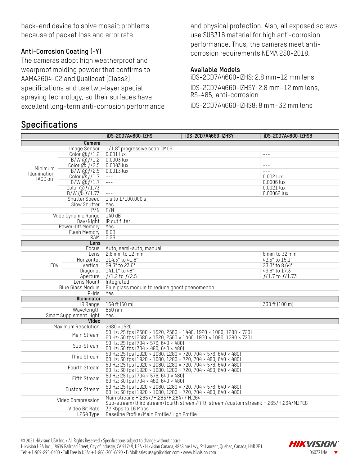back-end device to solve mosaic problems because of packet loss and error rate.

#### **Anti-Corrosion Coating (-Y)**

The cameras adopt high weatherproof and wearproof molding powder that confirms to AAMA2604-02 and Qualicoat (Class2) specifications and use two-layer special spraying technology, so their surfaces have excellent long-term anti-corrosion performance

### **Specifications**

and physical protection. Also, all exposed screws use SUS316 material for high anti-corrosion performance. Thus, the cameras meet anticorrosion requirements NEMA 250-2018.

#### **Available Models**

iDS-2CD7A46G0-IZHS: 2.8 mm–12 mm lens iDS-2CD7A46G0-IZHSY: 2.8 mm–12 mm lens, RS-485, anti-corrosion

iDS-2CD7A46G0-IZHS8: 8 mm–32 mm lens

|                                        |                                 | iDS-2CD7A46G0-IZHS<br>iDS-2CD7A46G0-IZHSY                                           | iDS-2CD7A46G0-IZHS8              |  |  |
|----------------------------------------|---------------------------------|-------------------------------------------------------------------------------------|----------------------------------|--|--|
|                                        | Camera                          |                                                                                     |                                  |  |  |
|                                        | Image Sensor                    | 1/1.8" progressive scan CM0S                                                        |                                  |  |  |
| Minimum<br>Illumination<br>(AGC on)    | Color $\overline{\omega f/1.2}$ | $0.001$ lux                                                                         | $- - -$                          |  |  |
|                                        | $B/W$ $\omega f/1.2$            | 0.0003 lux                                                                          | $- - -$                          |  |  |
|                                        | Color $\overline{\omega f/2.5}$ | $0.0043$ lux                                                                        | $- - -$                          |  |  |
|                                        | $B/W$ $\ddot{\omega}f/2.5$      | 0.0013 lux                                                                          | $- - -$                          |  |  |
|                                        | Color $@f/1.7$                  | $\frac{1}{2}$                                                                       | $0.002$ lux                      |  |  |
|                                        | $B/W$ $\omega f/1.7$            | $\frac{1}{2}$                                                                       | $0.0006$ lux                     |  |  |
|                                        | Color $\omega f/1.73$           | $\sim$ $\sim$ $\sim$                                                                | $0.0021$ lux                     |  |  |
|                                        | $B/W$ @ $f/1.73$                | $\frac{1}{2}$                                                                       | 0.00062 lux                      |  |  |
|                                        | <b>Shutter Speed</b>            | 1 s to 1/100,000 s                                                                  |                                  |  |  |
| Slow Shutter                           |                                 | Yes                                                                                 |                                  |  |  |
| P/N                                    |                                 | P/N                                                                                 |                                  |  |  |
| Wide Dynamic Range                     |                                 | 140dB                                                                               |                                  |  |  |
| Dav/Night                              |                                 | IR cut filter                                                                       |                                  |  |  |
| Power-Off Memory                       |                                 | Yes                                                                                 |                                  |  |  |
| Flash Memory                           |                                 | 8G                                                                                  |                                  |  |  |
|                                        | <b>RAM</b>                      | $2$ GB                                                                              |                                  |  |  |
|                                        | Lens                            |                                                                                     |                                  |  |  |
|                                        | Focus                           | Auto, semi-auto, manual                                                             |                                  |  |  |
|                                        | Lens                            | $2.8$ mm to $12$ mm                                                                 | 8 mm to 32 mm                    |  |  |
|                                        | Horizontal                      | 114.5° to 41.8°<br>59.3° to 23.6°                                                   | 42.5° to 15.1°<br>23.3° to 8.64° |  |  |
| <b>FOV</b>                             | Vertical                        | 141.1° to 48°                                                                       | 49.6° to 17.3                    |  |  |
|                                        | Diagonal                        | $f/1.2$ to $f/2.5$                                                                  | $f/1.7$ to $f/1.73$              |  |  |
| Aperture                               |                                 | Integrated                                                                          |                                  |  |  |
| Lens Mount<br><b>Blue Glass Module</b> |                                 | Blue glass module to reduce ghost phenomenon                                        |                                  |  |  |
|                                        |                                 | Yes                                                                                 |                                  |  |  |
| P-Iris<br>Illuminator                  |                                 |                                                                                     |                                  |  |  |
|                                        | IR Range                        | 164 ft (50 m)                                                                       | 330 ft (100 m)                   |  |  |
|                                        | Wavelength                      | 850 nm                                                                              |                                  |  |  |
| Smart Supplement Light                 |                                 | Yes                                                                                 |                                  |  |  |
| Video                                  |                                 |                                                                                     |                                  |  |  |
| Maximum Resolution                     |                                 | 2680 ×1520                                                                          |                                  |  |  |
|                                        |                                 | 50 Hz: 25 fps (2680 × 1520, 2560 × 1440, 1920 × 1080, 1280 × 720)                   |                                  |  |  |
| Main Stream                            |                                 | 60 Hz: 30 fps (2680 × 1520, 2560 × 1440, 1920 × 1080, 1280 × 720)                   |                                  |  |  |
| Sub-Stream                             |                                 | 50 Hz: 25 fps (704 × 576, 640 × 480)                                                |                                  |  |  |
|                                        |                                 | 60 Hz: 30 fps (704 × 480, 640 × 480)                                                |                                  |  |  |
|                                        |                                 | 50 Hz: 25 fps (1920 × 1080, 1280 × 720, 704 × 576, 640 × 480)                       |                                  |  |  |
| Third Stream                           |                                 | 60 Hz: 30 fps (1920 × 1080, 1280 × 720, 704 × 480, 640 × 480)                       |                                  |  |  |
| Fourth Stream                          |                                 | 50 Hz: 25 fps (1920 × 1080, 1280 × 720, 704 × 576, 640 × 480)                       |                                  |  |  |
|                                        |                                 | 60 Hz: 30 fps (1920 × 1080, 1280 × 720, 704 × 480, 640 × 480)                       |                                  |  |  |
| Fifth Stream                           |                                 | 50 Hz: 25 fps (704 × 576, 640 × 480)                                                |                                  |  |  |
|                                        |                                 | 60 Hz: 30 fps (704 × 480, 640 × 480)                                                |                                  |  |  |
| Custom Stream                          |                                 | 50 Hz: 25 fps (1920 × 1080, 1280 × 720, 704 × 576, 640 × 480)                       |                                  |  |  |
|                                        |                                 | 60 Hz: 30 fps (1920 × 1080, 1280 × 720, 704 × 480, 640 × 480)                       |                                  |  |  |
| Video Compression                      |                                 | Main stream: H.265+/H.265/H.264+/ H.264                                             |                                  |  |  |
|                                        |                                 | Sub-stream/third stream/fourth stream/fifth stream/custom stream: H.265/H.264/MJPEG |                                  |  |  |
| Video Bit Rate                         |                                 | 32 Kbps to 16 Mbps                                                                  |                                  |  |  |
| H.264 Type                             |                                 | Baseline Profile/Main Profile/High Profile                                          |                                  |  |  |

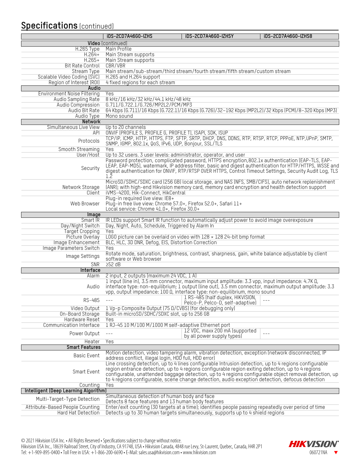## **Specifications** (continued)

|                                       | iDS-2CD7A46G0-IZHS                                                     | iDS-2CD7A46G0-IZHSY                                                                               | iDS-2CD7A46G0-IZHS8                                                                                     |
|---------------------------------------|------------------------------------------------------------------------|---------------------------------------------------------------------------------------------------|---------------------------------------------------------------------------------------------------------|
|                                       | Video (continued)                                                      |                                                                                                   |                                                                                                         |
| $H.265$ Type                          | Main Profile                                                           |                                                                                                   |                                                                                                         |
| $H.264+$                              | Main Stream supports                                                   |                                                                                                   |                                                                                                         |
| $H.265+$<br><b>Bit Rate Control</b>   | Main Stream supports<br>CBR/VBR                                        |                                                                                                   |                                                                                                         |
| Stream Type                           |                                                                        | Main stream/sub-stream/third stream/fourth stream/fifth stream/custom stream                      |                                                                                                         |
| Scalable Video Coding (SVC)           | H.265 and H.264 support                                                |                                                                                                   |                                                                                                         |
| Region of Interest (ROI)              | 4 fixed regions for each stream                                        |                                                                                                   |                                                                                                         |
| Audio                                 |                                                                        |                                                                                                   |                                                                                                         |
| Environment Noise Filtering           | Yes                                                                    |                                                                                                   |                                                                                                         |
| Audio Sampling Rate                   | 8 kHz/16 kHz/32 kHz/44.1 kHz/48 kHz                                    |                                                                                                   |                                                                                                         |
| Audio Compression                     | G.711/G.722.1/G.726/MP2L2/PCM/MP3                                      |                                                                                                   |                                                                                                         |
| Audio Bit Rate<br>Audio Type          | Mono sound                                                             |                                                                                                   | 64 Kbps (6.711)/16 Kbps (6.722.1)/16 Kbps (6.726)/32-192 Kbps (MP2L2)/32 Kbps (PCM)/8-320 Kbps (MP3)    |
| Network                               |                                                                        |                                                                                                   |                                                                                                         |
| Simultaneous Live View                | Up to 20 channels                                                      |                                                                                                   |                                                                                                         |
| API                                   | ONVIF (PROFILE S, PROFILE G, PROFILE T), ISAPI, SDK, ISUP              |                                                                                                   |                                                                                                         |
| Protocols                             |                                                                        |                                                                                                   | TCP/IP, ICMP, HTTP, HTTPS, FTP, SFTP, SRTP, DHCP, DNS, DDNS, RTP, RTSP, RTCP, PPPoE, NTP, UPnP, SMTP,   |
|                                       | SNMP, IGMP, 802.1x, QoS, IPv6, UDP, Bonjour, SSL/TLS                   |                                                                                                   |                                                                                                         |
| Smooth Streaming                      | Yes                                                                    |                                                                                                   |                                                                                                         |
| User/Host                             |                                                                        | Up to 32 users. 3 user levels: administrator, operator, and user                                  | Password protection, complicated password, HTTPS encryption, 802.1x authentication (EAP-TLS, EAP-       |
|                                       |                                                                        |                                                                                                   | LEAP, EAP-MD5), watermark, IP address filter, basic and digest authentication for HTTP/HTTPS, WSSE and  |
| Security                              |                                                                        |                                                                                                   | digest authentication for ONVIF, RTP/RTSP OVER HTTPS, Control Timeout Settings, Security Audit Log, TLS |
|                                       | 1.2                                                                    |                                                                                                   |                                                                                                         |
|                                       |                                                                        |                                                                                                   | MicroSD/SDHC/SDXC card (256 GB) local storage, and NAS (NFS, SMB/CIFS), auto network replenishment      |
| Network Storage                       |                                                                        |                                                                                                   | (ANR); with high-end Hikvision memory card, memory card encryption and health detection support         |
| Client                                | iVMS-4200, Hik-Connect, HikCentral<br>Plug-in required live view: IE8+ |                                                                                                   |                                                                                                         |
| Web Browser                           |                                                                        | Plug-in free live view: Chrome 57.0+, Firefox 52.0+, Safari 11+                                   |                                                                                                         |
|                                       | Local service: Chrome 41.0+, Firefox 30.0+                             |                                                                                                   |                                                                                                         |
| Image                                 |                                                                        |                                                                                                   |                                                                                                         |
| Smart IR                              |                                                                        | IR LEDs support Smart IR function to automatically adjust power to avoid image overexposure       |                                                                                                         |
| Day/Night Switch<br>Target Cropping   | Day, Night, Auto, Schedule, Triggered by Alarm In<br>Yes               |                                                                                                   |                                                                                                         |
| Picture Overlay                       |                                                                        | L060 picture can be overlaid on video with $128 \times 128$ 24-bit bmp format                     |                                                                                                         |
| Image Enhancement                     | BLC, HLC, 3D DNR, Defog, EIS, Distortion Correction                    |                                                                                                   |                                                                                                         |
| Image Parameters Switch               | Yes                                                                    |                                                                                                   |                                                                                                         |
| Image Settings                        |                                                                        |                                                                                                   | Rotate mode, saturation, brightness, contrast, sharpness, gain, white balance adjustable by client      |
| <b>SNR</b>                            | software or Web browser<br>252 dB                                      |                                                                                                   |                                                                                                         |
| Interface                             |                                                                        |                                                                                                   |                                                                                                         |
| Alarm                                 | 2 input, 2 outputs (maximum 24 VDC, 1 A)                               |                                                                                                   |                                                                                                         |
|                                       |                                                                        | 1 input (line in), 3.5 mm connector, maximum input amplitude: 3.3 vpp, input impedance: 4.7K 0,   |                                                                                                         |
| Audio                                 |                                                                        |                                                                                                   | interface type: non-equilibrium; 1 output (line out), 3.5 mm connector, maximum output amplitude: 3.3   |
|                                       |                                                                        | vpp, output impedance: 100 0, interface type: non-equilibrium, mono sound                         |                                                                                                         |
| RS-485                                | $---$                                                                  | 1 RS-485 (half duplex, HIKVISION,<br>Pelco-P, Pelco-D, self-adaptive)                             |                                                                                                         |
| Video Output                          | 1 Vp-p Composite Output (75 0/CVBS) (for debugging only)               |                                                                                                   |                                                                                                         |
| On-Board Storage                      | Built-in microSD/SDHC/SDXC slot, up to 256 GB                          |                                                                                                   |                                                                                                         |
| Hardware Reset                        | Yes                                                                    |                                                                                                   |                                                                                                         |
| Communication Interface               | 1 RJ-45 10 M/100 M/1000 M self-adaptive Ethernet port                  |                                                                                                   |                                                                                                         |
| Power Output                          | $- - -$                                                                | 12 VDC, maxx 200 mA (supported                                                                    | $---$                                                                                                   |
| Heater                                | Yes                                                                    | by all power supply types)                                                                        |                                                                                                         |
| <b>Smart Features</b>                 |                                                                        |                                                                                                   |                                                                                                         |
| <b>Basic Event</b>                    |                                                                        |                                                                                                   | Motion detection, video tampering alarm, vibration detection, exception (network disconnected, IP       |
|                                       | address conflict, illegal login, HDD full, HDD error)                  |                                                                                                   |                                                                                                         |
|                                       |                                                                        | region entrance detection, up to 4 regions configurable region exiting detection, up to 4 regions | Line crossing detection, up to 4 lines configurable Intrusion detection, up to 4 regions configurable   |
| Smart Event                           |                                                                        |                                                                                                   | configurable, unattended baggage detection, up to 4 regions configurable object removal detection, up   |
|                                       |                                                                        |                                                                                                   | to 4 regions configurable, scene change detection, audio exception detection, defocus detection         |
| Counting                              | Yes                                                                    |                                                                                                   |                                                                                                         |
| Intelligent (Deep Learning Algorithm) |                                                                        |                                                                                                   |                                                                                                         |
| Multi-Target-Type Detection           | Simultaneous detection of human body and face                          |                                                                                                   |                                                                                                         |
| Attribute-Based People Counting       | Detects 8 face features and 13 human body features                     |                                                                                                   | Enter/exit counting (30 targets at a time); identifies people passing repeatedly over period of time    |
| Hard Hat Detection                    |                                                                        | Detects up to 30 human targets simultaneously, supports up to 4 shield regions                    |                                                                                                         |
|                                       |                                                                        |                                                                                                   |                                                                                                         |

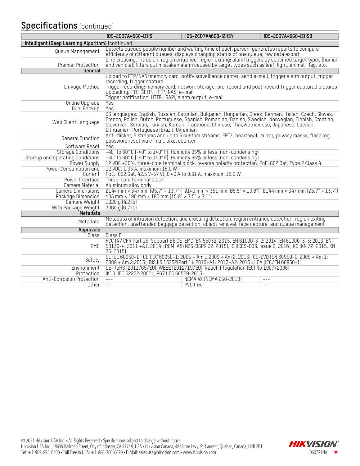## **Specifications** (continued)

|                                                   | iDS-2CD7A46G0-IZHS                                                                                                                                                                                                                                                                                                                                             | iDS-2CD7A46G0-IZHSY                                                                                                                                                                                | <b>iDS-2CD7A46G0-IZHS8</b>                                                                                 |  |  |  |  |  |
|---------------------------------------------------|----------------------------------------------------------------------------------------------------------------------------------------------------------------------------------------------------------------------------------------------------------------------------------------------------------------------------------------------------------------|----------------------------------------------------------------------------------------------------------------------------------------------------------------------------------------------------|------------------------------------------------------------------------------------------------------------|--|--|--|--|--|
| Intelligent (Deep Learning Algorithm) (continued) |                                                                                                                                                                                                                                                                                                                                                                |                                                                                                                                                                                                    |                                                                                                            |  |  |  |  |  |
| Queue Management                                  |                                                                                                                                                                                                                                                                                                                                                                | Detects queued people number and waiting time of each person; generates reports to compare<br>efficiency of different queues, displays changing status of one queue; raw data export               |                                                                                                            |  |  |  |  |  |
| Premier Protection<br>General                     |                                                                                                                                                                                                                                                                                                                                                                | and vehicle), filters out mistaken alarm caused by target types such as leaf, light, animal, flag, etc.                                                                                            | Line crossing, intrusion, region entrance, region exiting; alarm triggers by specified target types (human |  |  |  |  |  |
|                                                   |                                                                                                                                                                                                                                                                                                                                                                | Upload to FTP/NAS/memory card, notify surveillance center, send e-mail, trigger alarm output, trigger                                                                                              |                                                                                                            |  |  |  |  |  |
| Linkage Method                                    | recording, trigger capture<br>uploading: FTP, SFTP, HTTP, NAS, e-mail<br>Trigger notification: HTTP, ISAPI, alarm output, e-mail                                                                                                                                                                                                                               | Trigger recording: memory card, network storage, pre-record and post-record Trigger captured pictures                                                                                              |                                                                                                            |  |  |  |  |  |
| Online Upgrade                                    | Yes                                                                                                                                                                                                                                                                                                                                                            |                                                                                                                                                                                                    |                                                                                                            |  |  |  |  |  |
| Dual Backup                                       | Yes                                                                                                                                                                                                                                                                                                                                                            |                                                                                                                                                                                                    |                                                                                                            |  |  |  |  |  |
| Web Client Language                               | 33 languages: English, Russian, Estonian, Bulgarian, Hungarian, Greek, German, Italian, Czech, Slovak,<br>French, Polish, Dutch, Portuguese, Spanish, Romanian, Danish, Swedish, Norwegian, Finnish, Croatian,<br>Slovenian, Serbian, Turkish, Korean, Traditional Chinese, Thai, Vietnamese, Japanese, Latvian,<br>Lithuanian, Portuguese (Brazil), Ukrainian |                                                                                                                                                                                                    |                                                                                                            |  |  |  |  |  |
| General Function                                  | password reset via e-mail, pixel counter                                                                                                                                                                                                                                                                                                                       | Anti-flicker, 5 streams and up to 5 custom streams, EPTZ, heartbeat, mirror, privacy masks, flash log,                                                                                             |                                                                                                            |  |  |  |  |  |
| Software Reset                                    | Yes                                                                                                                                                                                                                                                                                                                                                            |                                                                                                                                                                                                    |                                                                                                            |  |  |  |  |  |
| <b>Storage Conditions</b>                         | -40° to 60° C (-40° to 140° F). Humidity 95% or less (non-condensing)                                                                                                                                                                                                                                                                                          |                                                                                                                                                                                                    |                                                                                                            |  |  |  |  |  |
| <b>Startup and Operating Conditions</b>           | -40° to 60° C (-40° to 140° F). Humidity 95% or less (non-condensing)                                                                                                                                                                                                                                                                                          |                                                                                                                                                                                                    |                                                                                                            |  |  |  |  |  |
| <b>Power Supply</b>                               | 12 VDC ±20%, three-core terminal block, reverse polarity protection; PoE: 802.3at, Type 2 Class 4                                                                                                                                                                                                                                                              |                                                                                                                                                                                                    |                                                                                                            |  |  |  |  |  |
| Power Consumption and                             | 12 VDC, 1.33 A, maximum 16.0 W                                                                                                                                                                                                                                                                                                                                 |                                                                                                                                                                                                    |                                                                                                            |  |  |  |  |  |
| Current                                           | PoE: (802.3at, 42.5 V-57 V), 0.43 A to 0.31 A, maximum 18.0 W                                                                                                                                                                                                                                                                                                  |                                                                                                                                                                                                    |                                                                                                            |  |  |  |  |  |
| Power Interface                                   | Three-core terminal block                                                                                                                                                                                                                                                                                                                                      |                                                                                                                                                                                                    |                                                                                                            |  |  |  |  |  |
| Camera Material                                   | Aluminum alloy body                                                                                                                                                                                                                                                                                                                                            |                                                                                                                                                                                                    |                                                                                                            |  |  |  |  |  |
| Camera Dimensions                                 |                                                                                                                                                                                                                                                                                                                                                                | $(144 \text{ mm} \times 347 \text{ mm} (05.7" \times 13.7")$ (140 mm $\times 351$ mm (05.5" $\times$ 13.8")) (144 mm $\times 347$ mm (05.7" $\times$ 13.7")                                        |                                                                                                            |  |  |  |  |  |
| Package Dimension                                 | 405 mm $\times$ 190 mm $\times$ 180 mm (15.9" $\times$ 7.5" $\times$ 7.1")                                                                                                                                                                                                                                                                                     |                                                                                                                                                                                                    |                                                                                                            |  |  |  |  |  |
| Camera Weight                                     | 1920 g (4.2 lb)                                                                                                                                                                                                                                                                                                                                                |                                                                                                                                                                                                    |                                                                                                            |  |  |  |  |  |
| With Package Weight                               | $3060 \overline{g}$ (6.7 lb)                                                                                                                                                                                                                                                                                                                                   |                                                                                                                                                                                                    |                                                                                                            |  |  |  |  |  |
| Metadata                                          |                                                                                                                                                                                                                                                                                                                                                                |                                                                                                                                                                                                    |                                                                                                            |  |  |  |  |  |
| Metadata                                          |                                                                                                                                                                                                                                                                                                                                                                | Metadata of intrusion detection, line crossing detection, region entrance detection, region exiting<br>detection, unattended baggage detection, object removal, face capture, and queue management |                                                                                                            |  |  |  |  |  |
| Approvals                                         |                                                                                                                                                                                                                                                                                                                                                                |                                                                                                                                                                                                    |                                                                                                            |  |  |  |  |  |
| Class                                             | Class B                                                                                                                                                                                                                                                                                                                                                        |                                                                                                                                                                                                    |                                                                                                            |  |  |  |  |  |
| EMC                                               | FCC (47 CFR Part 15, Subpart B); CE-EMC (EN 55032: 2015, EN 61000-3-2: 2014, EN 61000-3-3: 2013, EN<br>50130-4: 2011 +A1: 2014); RCM (AS/NZS CISPR 32: 2015); IC (ICES-003: Issue 6, 2016); KC (KN 32: 2015, KN<br>35: 2015)                                                                                                                                   |                                                                                                                                                                                                    |                                                                                                            |  |  |  |  |  |
| Safety                                            | UL (UL 60950-1); CB (IEC 60950-1: 2005 + Am 1:2009 + Am 2: 2013); CE-LVD (EN 60950-1: 2005 + Am 1:<br>2009 + Am 2:2013); BIS (IS 13252(Part 1): 2010+A1: 2013+A2: 2015); LOA (IEC/EN 60950-1)                                                                                                                                                                  |                                                                                                                                                                                                    |                                                                                                            |  |  |  |  |  |
| Environment                                       | CE-RoHS (2011/65/EU); WEEE (2012/19/EU); Reach (Regulation (EC) No 1907/2006)                                                                                                                                                                                                                                                                                  |                                                                                                                                                                                                    |                                                                                                            |  |  |  |  |  |
| Protection                                        | IK10 (IEC 62262:2002), IP67 (IEC 60529-2013)                                                                                                                                                                                                                                                                                                                   |                                                                                                                                                                                                    |                                                                                                            |  |  |  |  |  |
| Anti-Corrosion Protection                         | $  -$                                                                                                                                                                                                                                                                                                                                                          | NEMA 4X (NEMA 250-2018)                                                                                                                                                                            | $- - -$                                                                                                    |  |  |  |  |  |
| Other                                             | $\frac{1}{2}$                                                                                                                                                                                                                                                                                                                                                  | <b>PVC</b> free                                                                                                                                                                                    | $- - -$                                                                                                    |  |  |  |  |  |